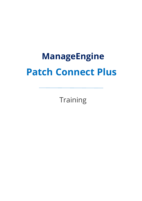# **ManageEngine Patch Connect Plus**

**Training**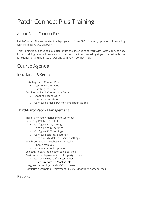# Patch Connect Plus Training

#### About Patch Connect Plus

Patch Connect Plus automates the deployment of over 380 third-party updates by integrating with the existing SCCM server.

This training is designed to equip users with the knowledge to work with Patch Connect Plus. In this training, you will learn about the best practices that will get you started with the functionalities and nuances of working with Patch Connect Plus.

# Course Agenda

#### Installation & Setup

- Installing Patch Connect Plus
	- o System Requirements
	- o Installing the Server
- Configuring Patch Connect Plus Server
	- o Enabling Secure log-in
	- o User Administration
	- o Configuring Mail Server for email notifications

#### Third-Party Patch Management

- Third-Party Patch Management Workflow
- Setting up Patch Connect Plus
	- o Configure Proxy settings
	- o Configure WSUS settings
	- o Configure SCCM settings
	- o Configure certificate settings
	- o Configure site database server settings
- Synchronize Patch Database periodically
	- o Update manually
	- o Schedule periodic updates
- Select third-party application to be patched
- Customize the deployment of third-party update
	- o Customize with default templates
	- o Customize with pre/post scripts
- Integrate native plugin with SCCM console
- Configure Automated Deployment Rule (ADR) for third-party patches

Reports